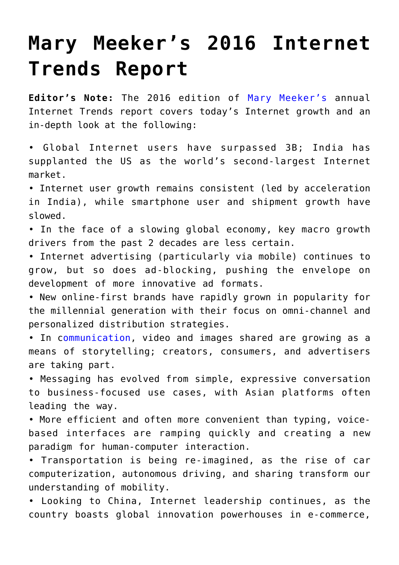## **[Mary Meeker's 2016 Internet](https://www.commpro.biz/mary-meekers-2016-internet-trends-report/) [Trends Report](https://www.commpro.biz/mary-meekers-2016-internet-trends-report/)**

**Editor's Note:** The 2016 edition of [Mary Meeker's](https://en.wikipedia.org/wiki/Mary_Meeker) annual Internet Trends report covers today's Internet growth and an in-depth look at the following:

• Global Internet users have surpassed 3B; India has supplanted the US as the world's second-largest Internet market.

• Internet user growth remains consistent (led by acceleration in India), while smartphone user and shipment growth have slowed.

• In the face of a slowing global economy, key macro growth drivers from the past 2 decades are less certain.

• Internet advertising (particularly via mobile) continues to grow, but so does ad-blocking, pushing the envelope on development of more innovative ad formats.

• New online-first brands have rapidly grown in popularity for the millennial generation with their focus on omni-channel and personalized distribution strategies.

• In [communication](https://www.commpro.biz/), video and images shared are growing as a means of storytelling; creators, consumers, and advertisers are taking part.

• Messaging has evolved from simple, expressive conversation to business-focused use cases, with Asian platforms often leading the way.

• More efficient and often more convenient than typing, voicebased interfaces are ramping quickly and creating a new paradigm for human-computer interaction.

• Transportation is being re-imagined, as the rise of car computerization, autonomous driving, and sharing transform our understanding of mobility.

• Looking to China, Internet leadership continues, as the country boasts global innovation powerhouses in e-commerce,